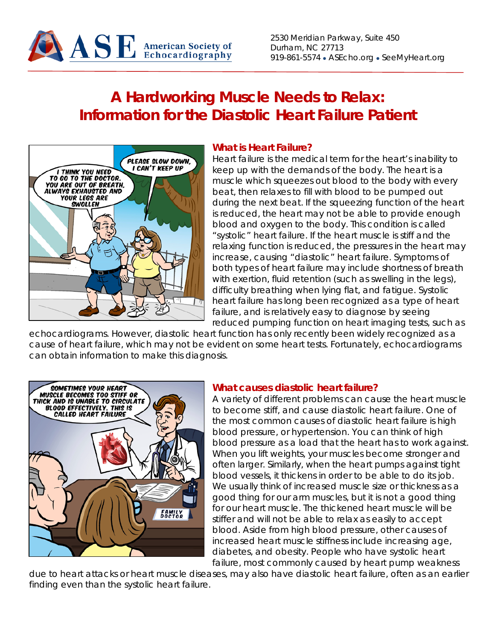

2530 Meridian Parkway, Suite 450 Durham, NC 27713 919-861-5574 • ASEcho.org • SeeMyHeart.org

# **A Hardworking Muscle Needs to Relax: Information for the Diastolic Heart Failure Patient**



#### **What is Heart Failure?**

Heart failure is the medical term for the heart's inability to keep up with the demands of the body. The heart is a muscle which squeezes out blood to the body with every beat, then relaxes to fill with blood to be pumped out during the next beat. If the squeezing function of the heart is reduced, the heart may not be able to provide enough blood and oxygen to the body. This condition is called "systolic" heart failure. If the heart muscle is stiff and the relaxing function is reduced, the pressures in the heart may increase, causing "diastolic" heart failure. Symptoms of both types of heart failure may include shortness of breath with exertion, fluid retention (such as swelling in the legs), difficulty breathing when lying flat, and fatigue. Systolic heart failure has long been recognized as a type of heart failure, and is relatively easy to diagnose by seeing reduced pumping function on heart imaging tests, such as

echocardiograms. However, diastolic heart function has only recently been widely recognized as a cause of heart failure, which may not be evident on some heart tests. Fortunately, echocardiograms can obtain information to make this diagnosis.



#### **What causes diastolic heart failure?**

A variety of different problems can cause the heart muscle to become stiff, and cause diastolic heart failure. One of the most common causes of diastolic heart failure is high blood pressure, or hypertension. You can think of high blood pressure as a load that the heart has to work against. When you lift weights, your muscles become stronger and often larger. Similarly, when the heart pumps against tight blood vessels, it thickens in order to be able to do its job. We usually think of increased muscle size or thickness as a good thing for our arm muscles, but it is not a good thing for our heart muscle. The thickened heart muscle will be stiffer and will not be able to relax as easily to accept blood. Aside from high blood pressure, other causes of increased heart muscle stiffness include increasing age, diabetes, and obesity. People who have systolic heart failure, most commonly caused by heart pump weakness

due to heart attacks or heart muscle diseases, may also have diastolic heart failure, often as an earlier finding even than the systolic heart failure.